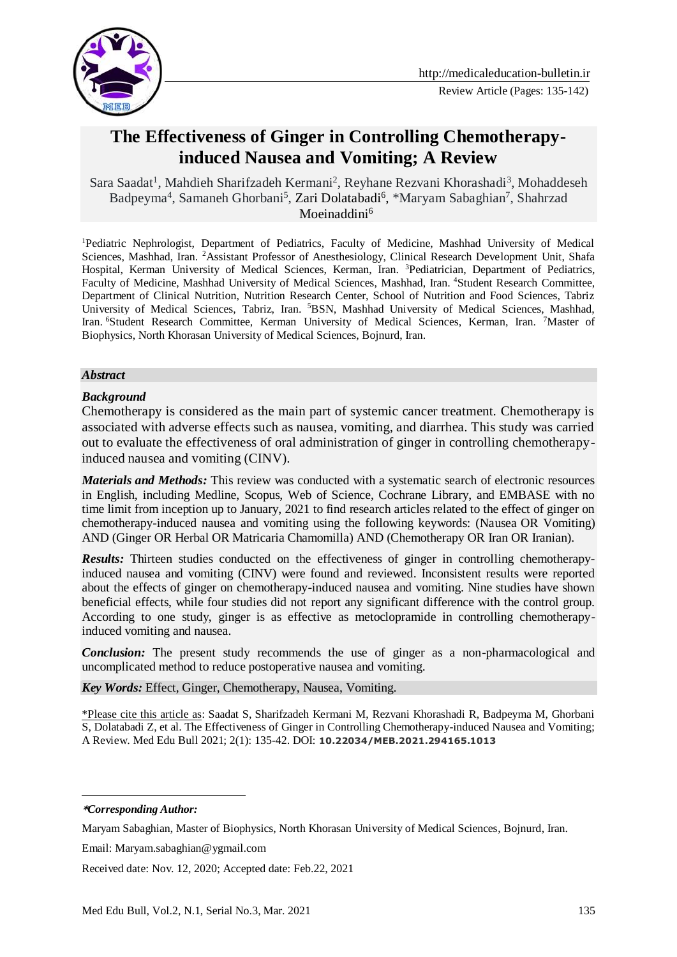

# **The Effectiveness of Ginger in Controlling Chemotherapyinduced Nausea and Vomiting; A Review**

Sara Saadat<sup>1</sup>, Mahdieh Sharifzadeh Kermani<sup>2</sup>, Reyhane Rezvani Khorashadi<sup>3</sup>, Mohaddeseh Badpeyma<sup>4</sup>, Samaneh Ghorbani<sup>5</sup>, [Zari Dolatabadi](https://ijp.mums.ac.ir/?_action=article&au=199578&_au=Zari++Dolatabadi)<sup>6</sup>, \*Maryam Sabaghian<sup>7</sup>, Shahrzad Moeinaddini $6$ 

<sup>1</sup>Pediatric Nephrologist, Department of Pediatrics, Faculty of Medicine, Mashhad University of Medical Sciences, Mashhad, Iran. <sup>2</sup>Assistant Professor of Anesthesiology, Clinical Research Development Unit, Shafa Hospital, Kerman University of Medical Sciences, Kerman, Iran. <sup>3</sup>Pediatrician, Department of Pediatrics, Faculty of Medicine, Mashhad University of Medical Sciences, Mashhad, Iran. <sup>4</sup>Student Research Committee, Department of Clinical Nutrition, Nutrition Research Center, School of Nutrition and Food Sciences, Tabriz University of Medical Sciences, Tabriz, Iran. <sup>5</sup>BSN, Mashhad University of Medical Sciences, Mashhad, Iran. <sup>6</sup>Student Research Committee, Kerman University of Medical Sciences, Kerman, Iran. <sup>7</sup>Master of Biophysics, North Khorasan University of Medical Sciences, Bojnurd, Iran.

#### *Abstract*

#### *Background*

Chemotherapy is considered as the main part of systemic cancer treatment. Chemotherapy is associated with adverse effects such as nausea, vomiting, and diarrhea. This study was carried out to evaluate the effectiveness of oral administration of ginger in controlling chemotherapyinduced nausea and vomiting (CINV).

*Materials and Methods:* This review was conducted with a systematic search of electronic resources in English, including Medline, Scopus, Web of Science, Cochrane Library, and EMBASE with no time limit from inception up to January, 2021 to find research articles related to the effect of ginger on chemotherapy-induced nausea and vomiting using the following keywords: (Nausea OR Vomiting) AND (Ginger OR Herbal OR Matricaria Chamomilla) AND (Chemotherapy OR Iran OR Iranian).

**Results:** Thirteen studies conducted on the effectiveness of ginger in controlling chemotherapyinduced nausea and vomiting (CINV) were found and reviewed. Inconsistent results were reported about the effects of ginger on chemotherapy-induced nausea and vomiting. Nine studies have shown beneficial effects, while four studies did not report any significant difference with the control group. According to one study, ginger is as effective as metoclopramide in controlling chemotherapyinduced vomiting and nausea.

*Conclusion:* The present study recommends the use of ginger as a non-pharmacological and uncomplicated method to reduce postoperative nausea and vomiting.

*Key Words:* Effect, Ginger, Chemotherapy, Nausea, Vomiting.

\*Please cite this article as: Saadat S, Sharifzadeh Kermani M, Rezvani Khorashadi R, Badpeyma M, Ghorbani S[, Dolatabadi](https://ijp.mums.ac.ir/?_action=article&au=199578&_au=Zari++Dolatabadi) Z, et al. The Effectiveness of Ginger in Controlling Chemotherapy-induced Nausea and Vomiting; A Review. Med Edu Bull 2021; 2(1): 135-42. DOI: **10.22034/MEB.2021.294165.1013**

-

Received date: Nov. 12, 2020; Accepted date: Feb.22, 2021

**<sup>\*</sup>***Corresponding Author:*

Maryam Sabaghian, Master of Biophysics, North Khorasan University of Medical Sciences, Bojnurd, Iran.

Email: Maryam.sabaghian@ygmail.com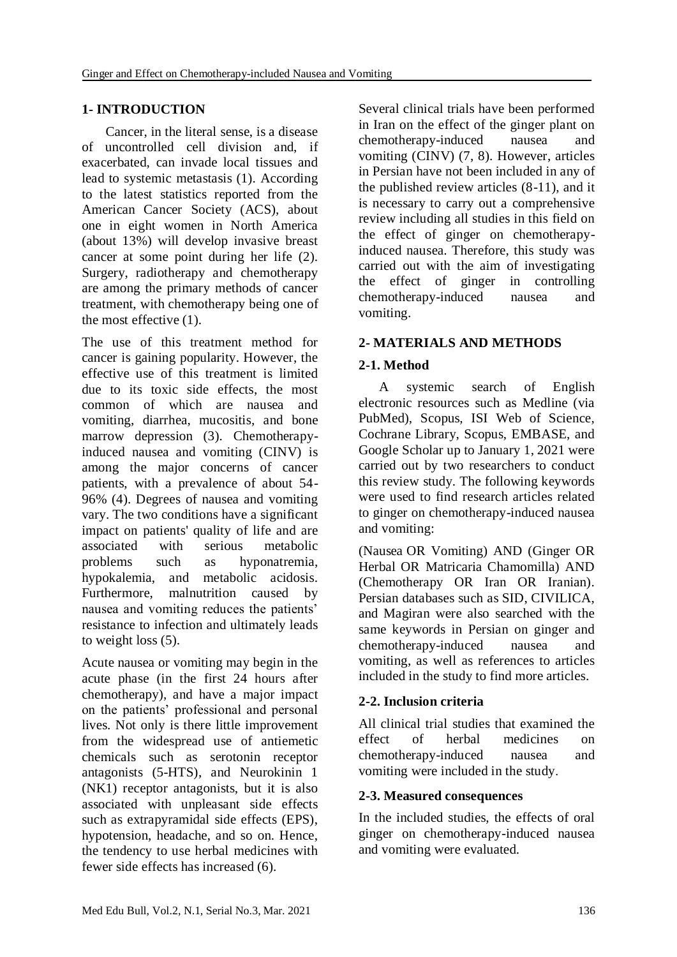# **1- INTRODUCTION**

 Cancer, in the literal sense, is a disease of uncontrolled cell division and, if exacerbated, can invade local tissues and lead to systemic metastasis (1). According to the latest statistics reported from the American Cancer Society (ACS), about one in eight women in North America (about 13%) will develop invasive breast cancer at some point during her life (2). Surgery, radiotherapy and chemotherapy are among the primary methods of cancer treatment, with chemotherapy being one of the most effective (1).

The use of this treatment method for cancer is gaining popularity. However, the effective use of this treatment is limited due to its toxic side effects, the most common of which are nausea and vomiting, diarrhea, mucositis, and bone marrow depression (3). Chemotherapyinduced nausea and vomiting (CINV) is among the major concerns of cancer patients, with a prevalence of about 54- 96% (4). Degrees of nausea and vomiting vary. The two conditions have a significant impact on patients' quality of life and are associated with serious metabolic problems such as hyponatremia, hypokalemia, and metabolic acidosis. Furthermore, malnutrition caused by nausea and vomiting reduces the patients' resistance to infection and ultimately leads to weight loss (5).

Acute nausea or vomiting may begin in the acute phase (in the first 24 hours after chemotherapy), and have a major impact on the patients' professional and personal lives. Not only is there little improvement from the widespread use of antiemetic chemicals such as serotonin receptor antagonists (5-HTS), and Neurokinin 1 (NK1) receptor antagonists, but it is also associated with unpleasant side effects such as extrapyramidal side effects (EPS), hypotension, headache, and so on. Hence, the tendency to use herbal medicines with fewer side effects has increased (6).

Several clinical trials have been performed in Iran on the effect of the ginger plant on chemotherapy-induced nausea and vomiting (CINV) (7, 8). However, articles in Persian have not been included in any of the published review articles (8-11), and it is necessary to carry out a comprehensive review including all studies in this field on the effect of ginger on chemotherapyinduced nausea. Therefore, this study was carried out with the aim of investigating the effect of ginger in controlling chemotherapy-induced nausea and vomiting.

# **2- MATERIALS AND METHODS**

# **2-1. Method**

 A systemic search of English electronic resources such as Medline (via PubMed), Scopus, ISI Web of Science, Cochrane Library, Scopus, EMBASE, and Google Scholar up to January 1, 2021 were carried out by two researchers to conduct this review study. The following keywords were used to find research articles related to ginger on chemotherapy-induced nausea and vomiting:

(Nausea OR Vomiting) AND (Ginger OR Herbal OR Matricaria Chamomilla) AND (Chemotherapy OR Iran OR Iranian). Persian databases such as SID, CIVILICA, and Magiran were also searched with the same keywords in Persian on ginger and chemotherapy-induced nausea and vomiting, as well as references to articles included in the study to find more articles.

# **2-2. Inclusion criteria**

All clinical trial studies that examined the effect of herbal medicines on chemotherapy-induced nausea and vomiting were included in the study.

# **2-3. Measured consequences**

In the included studies, the effects of oral ginger on chemotherapy-induced nausea and vomiting were evaluated.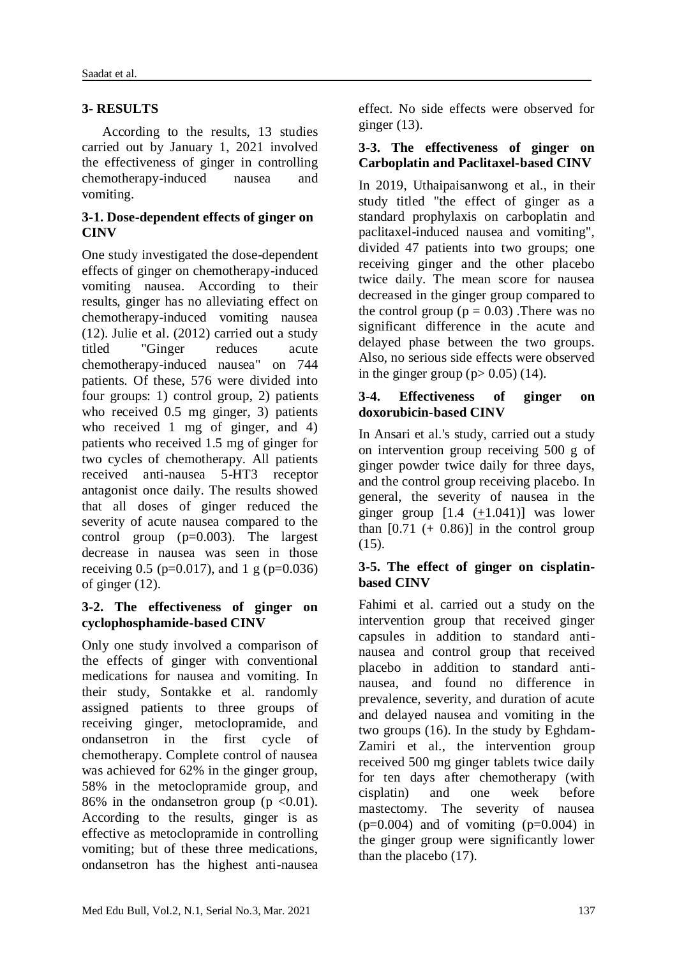# **3- RESULTS**

 According to the results, 13 studies carried out by January 1, 2021 involved the effectiveness of ginger in controlling chemotherapy-induced nausea and vomiting.

#### **3-1. Dose-dependent effects of ginger on CINV**

One study investigated the dose-dependent effects of ginger on chemotherapy-induced vomiting nausea. According to their results, ginger has no alleviating effect on chemotherapy-induced vomiting nausea (12). Julie et al. (2012) carried out a study titled "Ginger reduces acute chemotherapy-induced nausea" on 744 patients. Of these, 576 were divided into four groups: 1) control group, 2) patients who received 0.5 mg ginger, 3) patients who received 1 mg of ginger, and 4) patients who received 1.5 mg of ginger for two cycles of chemotherapy. All patients received anti-nausea 5-HT3 receptor antagonist once daily. The results showed that all doses of ginger reduced the severity of acute nausea compared to the control group (p=0.003). The largest decrease in nausea was seen in those receiving 0.5 ( $p=0.017$ ), and 1 g ( $p=0.036$ ) of ginger (12).

#### **3-2. The effectiveness of ginger on cyclophosphamide-based CINV**

Only one study involved a comparison of the effects of ginger with conventional medications for nausea and vomiting. In their study, Sontakke et al. randomly assigned patients to three groups of receiving ginger, metoclopramide, and ondansetron in the first cycle of chemotherapy. Complete control of nausea was achieved for 62% in the ginger group, 58% in the metoclopramide group, and 86% in the ondansetron group ( $p \le 0.01$ ). According to the results, ginger is as effective as metoclopramide in controlling vomiting; but of these three medications, ondansetron has the highest anti-nausea effect. No side effects were observed for ginger  $(13)$ .

#### **3-3. The effectiveness of ginger on Carboplatin and Paclitaxel-based CINV**

In 2019, Uthaipaisanwong et al., in their study titled "the effect of ginger as a standard prophylaxis on carboplatin and paclitaxel-induced nausea and vomiting", divided 47 patients into two groups; one receiving ginger and the other placebo twice daily. The mean score for nausea decreased in the ginger group compared to the control group ( $p = 0.03$ ). There was no significant difference in the acute and delayed phase between the two groups. Also, no serious side effects were observed in the ginger group ( $p > 0.05$ ) (14).

#### **3-4. Effectiveness of ginger on doxorubicin-based CINV**

In Ansari et al.'s study, carried out a study on intervention group receiving 500 g of ginger powder twice daily for three days, and the control group receiving placebo. In general, the severity of nausea in the ginger group  $[1.4 \ (+1.041)]$  was lower than  $[0.71 (+ 0.86)]$  in the control group (15).

### **3-5. The effect of ginger on cisplatinbased CINV**

Fahimi et al. carried out a study on the intervention group that received ginger capsules in addition to standard antinausea and control group that received placebo in addition to standard antinausea, and found no difference in prevalence, severity, and duration of acute and delayed nausea and vomiting in the two groups (16). In the study by Eghdam-Zamiri et al., the intervention group received 500 mg ginger tablets twice daily for ten days after chemotherapy (with cisplatin) and one week before mastectomy. The severity of nausea  $(p=0.004)$  and of vomiting  $(p=0.004)$  in the ginger group were significantly lower than the placebo (17).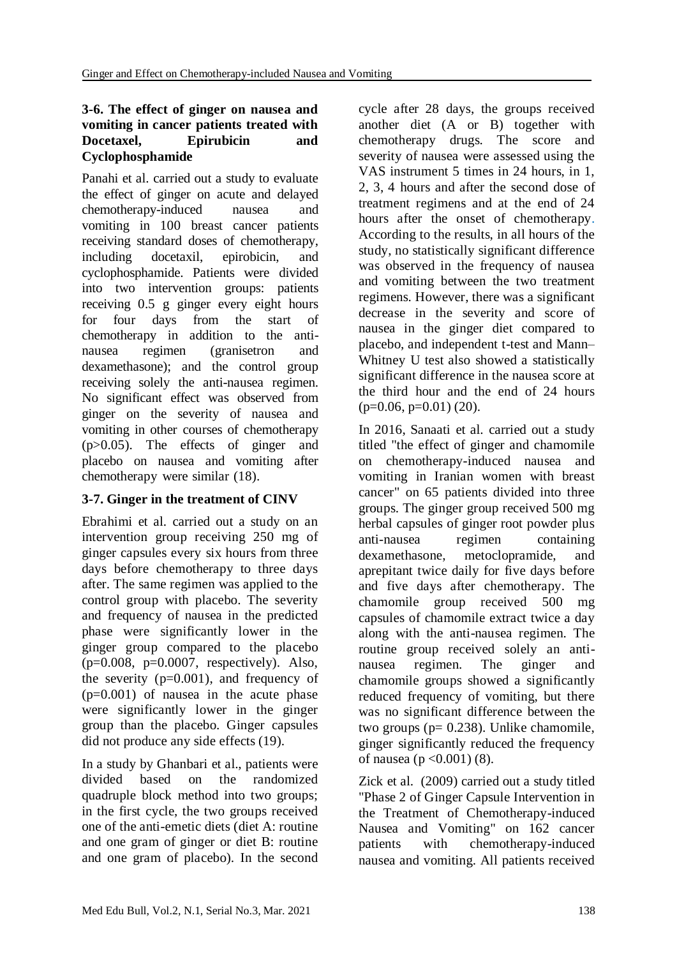#### **3-6. The effect of ginger on nausea and vomiting in cancer patients treated with Docetaxel, Epirubicin and Cyclophosphamide**

Panahi et al. carried out a study to evaluate the effect of ginger on acute and delayed chemotherapy-induced nausea and vomiting in 100 breast cancer patients receiving standard doses of chemotherapy, including docetaxil, epirobicin, and cyclophosphamide. Patients were divided into two intervention groups: patients receiving 0.5 g ginger every eight hours for four days from the start of chemotherapy in addition to the antinausea regimen (granisetron and dexamethasone); and the control group receiving solely the anti-nausea regimen. No significant effect was observed from ginger on the severity of nausea and vomiting in other courses of chemotherapy (p>0.05). The effects of ginger and placebo on nausea and vomiting after chemotherapy were similar (18).

# **3-7. Ginger in the treatment of CINV**

Ebrahimi et al. carried out a study on an intervention group receiving 250 mg of ginger capsules every six hours from three days before chemotherapy to three days after. The same regimen was applied to the control group with placebo. The severity and frequency of nausea in the predicted phase were significantly lower in the ginger group compared to the placebo  $(p=0.008, p=0.0007, respectively)$ . Also, the severity  $(p=0.001)$ , and frequency of  $(p=0.001)$  of nausea in the acute phase were significantly lower in the ginger group than the placebo. Ginger capsules did not produce any side effects (19).

In a study by Ghanbari et al., patients were divided based on the randomized quadruple block method into two groups; in the first cycle, the two groups received one of the anti-emetic diets (diet A: routine and one gram of ginger or diet B: routine and one gram of placebo). In the second cycle after 28 days, the groups received another diet (A or B) together with chemotherapy drugs. The score and severity of nausea were assessed using the VAS instrument 5 times in 24 hours, in 1, 2, 3, 4 hours and after the second dose of treatment regimens and at the end of 24 hours after the onset of chemotherapy. According to the results, in all hours of the study, no statistically significant difference was observed in the frequency of nausea and vomiting between the two treatment regimens. However, there was a significant decrease in the severity and score of nausea in the ginger diet compared to placebo, and independent t-test and Mann– Whitney U test also showed a statistically significant difference in the nausea score at the third hour and the end of 24 hours  $(p=0.06, p=0.01)$  (20).

In 2016, Sanaati et al. carried out a study titled "the effect of ginger and chamomile on chemotherapy-induced nausea and vomiting in Iranian women with breast cancer" on 65 patients divided into three groups. The ginger group received 500 mg herbal capsules of ginger root powder plus anti-nausea regimen containing dexamethasone, metoclopramide, and aprepitant twice daily for five days before and five days after chemotherapy. The chamomile group received 500 mg capsules of chamomile extract twice a day along with the anti-nausea regimen. The routine group received solely an antinausea regimen. The ginger and chamomile groups showed a significantly reduced frequency of vomiting, but there was no significant difference between the two groups (p= 0.238). Unlike chamomile, ginger significantly reduced the frequency of nausea ( $p < 0.001$ ) (8).

Zick et al. (2009) carried out a study titled "Phase 2 of Ginger Capsule Intervention in the Treatment of Chemotherapy-induced Nausea and Vomiting" on 162 cancer patients with chemotherapy-induced nausea and vomiting. All patients received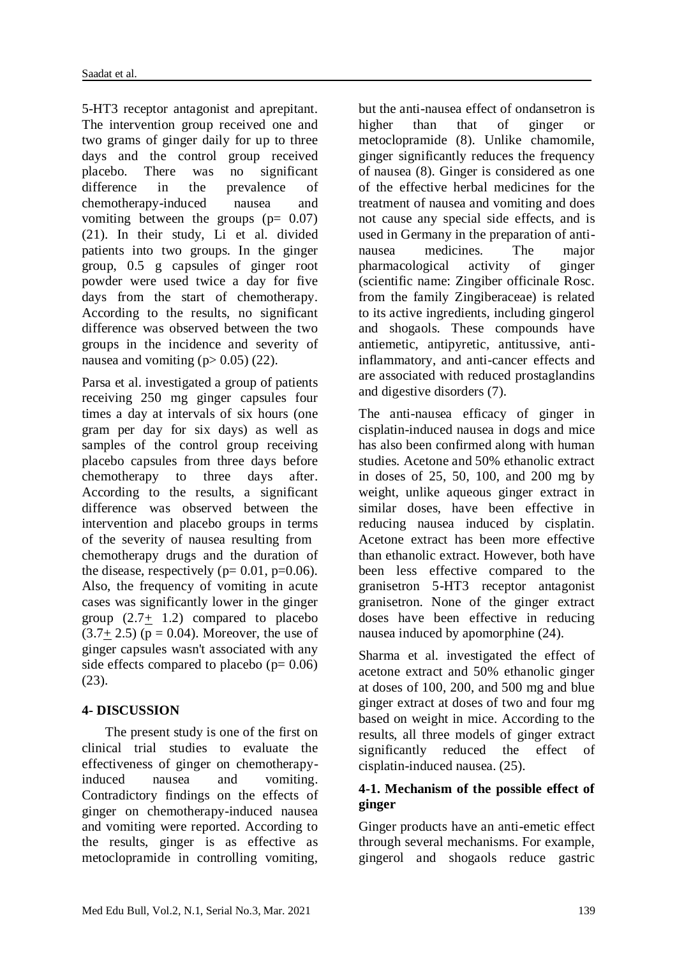5-HT3 receptor antagonist and aprepitant. The intervention group received one and two grams of ginger daily for up to three days and the control group received placebo. There was no significant difference in the prevalence of chemotherapy-induced nausea and vomiting between the groups  $(p= 0.07)$ (21). In their study, Li et al. divided patients into two groups. In the ginger group, 0.5 g capsules of ginger root powder were used twice a day for five days from the start of chemotherapy. According to the results, no significant difference was observed between the two groups in the incidence and severity of nausea and vomiting  $(p>0.05)$  (22).

Parsa et al. investigated a group of patients receiving 250 mg ginger capsules four times a day at intervals of six hours (one gram per day for six days) as well as samples of the control group receiving placebo capsules from three days before chemotherapy to three days after. According to the results, a significant difference was observed between the intervention and placebo groups in terms of the severity of nausea resulting from chemotherapy drugs and the duration of the disease, respectively ( $p= 0.01$ ,  $p=0.06$ ). Also, the frequency of vomiting in acute cases was significantly lower in the ginger group  $(2.7+ 1.2)$  compared to placebo  $(3.7 + 2.5)$  (p = 0.04). Moreover, the use of ginger capsules wasn't associated with any side effects compared to placebo  $(p= 0.06)$ (23).

# **4- DISCUSSION**

 The present study is one of the first on clinical trial studies to evaluate the effectiveness of ginger on chemotherapyinduced nausea and vomiting. Contradictory findings on the effects of ginger on chemotherapy-induced nausea and vomiting were reported. According to the results, ginger is as effective as metoclopramide in controlling vomiting,

but the anti-nausea effect of ondansetron is higher than that of ginger metoclopramide (8). Unlike chamomile, ginger significantly reduces the frequency of nausea (8). Ginger is considered as one of the effective herbal medicines for the treatment of nausea and vomiting and does not cause any special side effects, and is used in Germany in the preparation of antinausea medicines. The major pharmacological activity of ginger (scientific name: Zingiber officinale Rosc. from the family Zingiberaceae) is related to its active ingredients, including gingerol and shogaols. These compounds have antiemetic, antipyretic, antitussive, antiinflammatory, and anti-cancer effects and are associated with reduced prostaglandins and digestive disorders (7).

The anti-nausea efficacy of ginger in cisplatin-induced nausea in dogs and mice has also been confirmed along with human studies. Acetone and 50% ethanolic extract in doses of 25, 50, 100, and 200 mg by weight, unlike aqueous ginger extract in similar doses, have been effective in reducing nausea induced by cisplatin. Acetone extract has been more effective than ethanolic extract. However, both have been less effective compared to the granisetron 5-HT3 receptor antagonist granisetron. None of the ginger extract doses have been effective in reducing nausea induced by apomorphine (24).

Sharma et al. investigated the effect of acetone extract and 50% ethanolic ginger at doses of 100, 200, and 500 mg and blue ginger extract at doses of two and four mg based on weight in mice. According to the results, all three models of ginger extract significantly reduced the effect of cisplatin-induced nausea. (25).

### **4-1. Mechanism of the possible effect of ginger**

Ginger products have an anti-emetic effect through several mechanisms. For example, gingerol and shogaols reduce gastric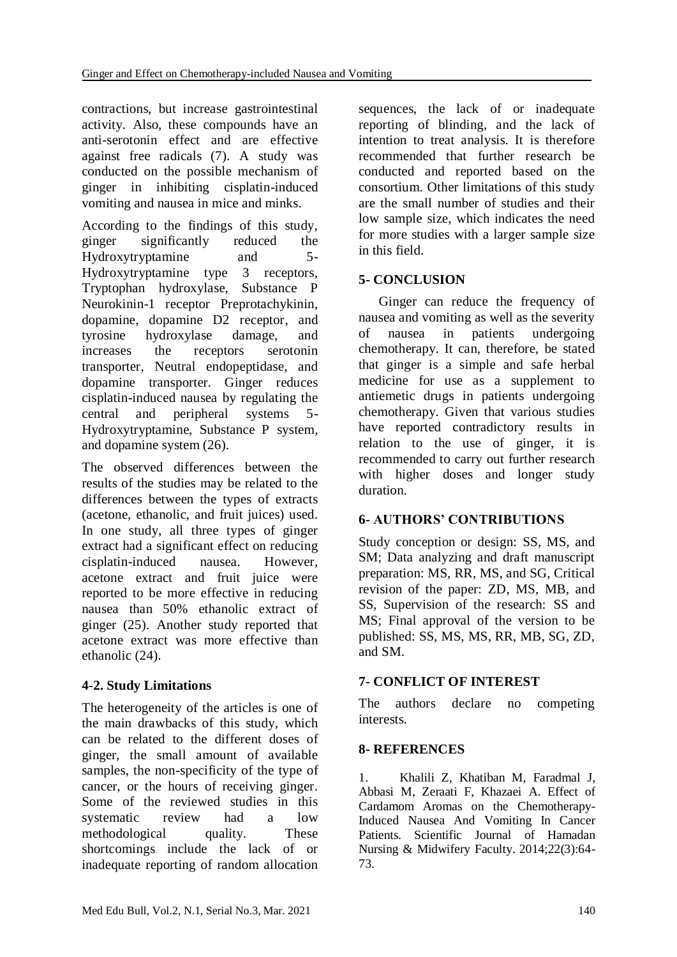contractions, but increase gastrointestinal activity. Also, these compounds have an anti-serotonin effect and are effective against free radicals (7). A study was conducted on the possible mechanism of ginger in inhibiting cisplatin-induced vomiting and nausea in mice and minks.

According to the findings of this study, ginger significantly reduced the Hydroxytryptamine and 5- Hydroxytryptamine type 3 receptors, Tryptophan hydroxylase, Substance P Neurokinin-1 receptor Preprotachykinin, dopamine, dopamine D2 receptor, and tyrosine hydroxylase damage, and increases the receptors serotonin transporter, Neutral endopeptidase, and dopamine transporter. Ginger reduces cisplatin-induced nausea by regulating the central and peripheral systems 5- Hydroxytryptamine, Substance P system, and dopamine system (26).

The observed differences between the results of the studies may be related to the differences between the types of extracts (acetone, ethanolic, and fruit juices) used. In one study, all three types of ginger extract had a significant effect on reducing cisplatin-induced nausea. However, acetone extract and fruit juice were reported to be more effective in reducing nausea than 50% ethanolic extract of ginger (25). Another study reported that acetone extract was more effective than ethanolic (24).

# **4-2. Study Limitations**

The heterogeneity of the articles is one of the main drawbacks of this study, which can be related to the different doses of ginger, the small amount of available samples, the non-specificity of the type of cancer, or the hours of receiving ginger. Some of the reviewed studies in this systematic review had a low methodological quality. These shortcomings include the lack of or inadequate reporting of random allocation sequences, the lack of or inadequate reporting of blinding, and the lack of intention to treat analysis. It is therefore recommended that further research be conducted and reported based on the consortium. Other limitations of this study are the small number of studies and their low sample size, which indicates the need for more studies with a larger sample size in this field.

# **5- CONCLUSION**

 Ginger can reduce the frequency of nausea and vomiting as well as the severity of nausea in patients undergoing chemotherapy. It can, therefore, be stated that ginger is a simple and safe herbal medicine for use as a supplement to antiemetic drugs in patients undergoing chemotherapy. Given that various studies have reported contradictory results in relation to the use of ginger, it is recommended to carry out further research with higher doses and longer study duration.

# **6- AUTHORS' CONTRIBUTIONS**

Study conception or design: SS, MS, and SM; Data analyzing and draft manuscript preparation: MS, RR, MS, and SG, Critical revision of the paper: ZD, MS, MB, and SS, Supervision of the research: SS and MS; Final approval of the version to be published: SS, MS, MS, RR, MB, SG, ZD, and SM.

# **7- CONFLICT OF INTEREST**

The authors declare no competing interests.

# **8- REFERENCES**

1. Khalili Z, Khatiban M, Faradmal J, Abbasi M, Zeraati F, Khazaei A. Effect of Cardamom Aromas on the Chemotherapy-Induced Nausea And Vomiting In Cancer Patients. Scientific Journal of Hamadan Nursing & Midwifery Faculty. 2014;22(3):64- 73.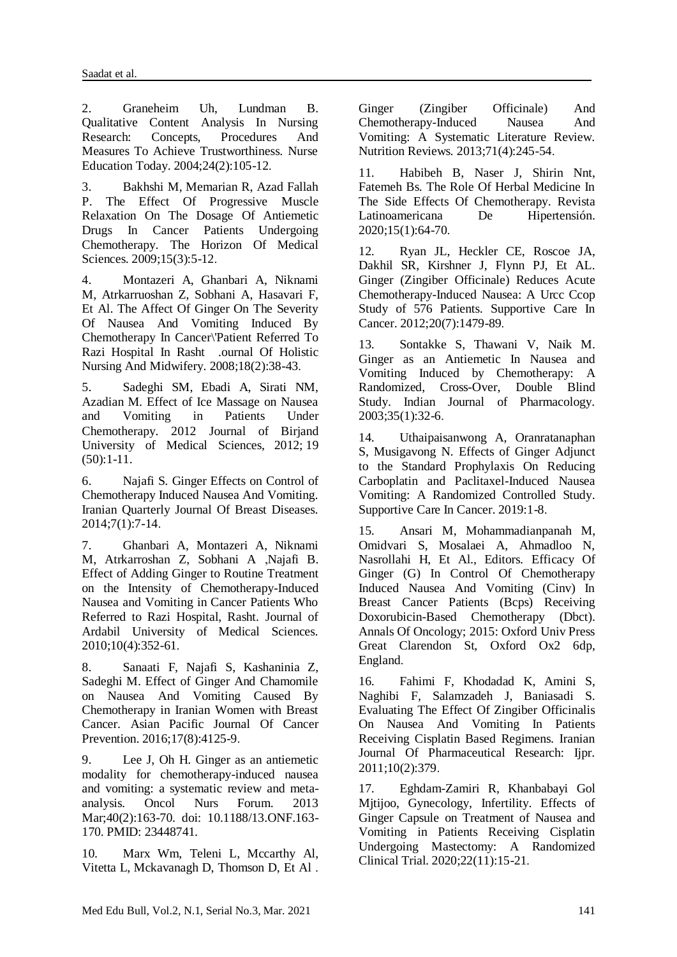2. Graneheim Uh, Lundman B. Qualitative Content Analysis In Nursing Research: Concepts, Procedures And Measures To Achieve Trustworthiness. Nurse Education Today. 2004;24(2):105-12.

3. Bakhshi M, Memarian R, Azad Fallah P. The Effect Of Progressive Muscle Relaxation On The Dosage Of Antiemetic Drugs In Cancer Patients Undergoing Chemotherapy. The Horizon Of Medical Sciences. 2009;15(3):5-12.

4. Montazeri A, Ghanbari A, Niknami M, Atrkarruoshan Z, Sobhani A, Hasavari F, Et Al. The Affect Of Ginger On The Severity Of Nausea And Vomiting Induced By Chemotherapy In Cancer\'Patient Referred To Razi Hospital In Rasht .ournal Of Holistic Nursing And Midwifery. 2008;18(2):38-43.

5. Sadeghi SM, Ebadi A, Sirati NM, Azadian M. Effect of Ice Massage on Nausea<br>and Vomiting in Patients Under Vomiting in Patients Under Chemotherapy. 201[2](https://www.sid.ir/en/Journal/JournalList.aspx?ID=3996) Journal of [Birjand](https://www.sid.ir/en/Journal/JournalList.aspx?ID=3996) [University](https://www.sid.ir/en/Journal/JournalList.aspx?ID=3996) of Medical Sciences, [2012;](https://www.sid.ir/en/Journal/JournalListPaper.aspx?ID=119821) 19 [\(50\):](https://www.sid.ir/en/Journal/JournalListPaper.aspx?ID=119821)1-11.

6. Najafi S. Ginger Effects on Control of Chemotherapy Induced Nausea And Vomiting. Iranian Quarterly Journal Of Breast Diseases. 2014;7(1):7-14.

7. Ghanbari A, Montazeri A, Niknami M, Atrkarroshan Z, Sobhani A ,Najafi B. Effect of Adding Ginger to Routine Treatment on the Intensity of Chemotherapy-Induced Nausea and Vomiting in Cancer Patients Who Referred to Razi Hospital, Rasht. Journal of Ardabil University of Medical Sciences. 2010;10(4):352-61.

8. Sanaati F, Najafi S, Kashaninia Z, Sadeghi M. Effect of Ginger And Chamomile on Nausea And Vomiting Caused By Chemotherapy in Iranian Women with Breast Cancer. Asian Pacific Journal Of Cancer Prevention. 2016;17(8):4125-9.

9. Lee J, Oh H. Ginger as an antiemetic modality for chemotherapy-induced nausea and vomiting: a systematic review and metaanalysis. Oncol Nurs Forum. 2013 Mar;40(2):163-70. doi: 10.1188/13.ONF.163- 170. PMID: 23448741.

10. Marx Wm, Teleni L, Mccarthy Al, Vitetta L, Mckavanagh D, Thomson D, Et Al . Ginger (Zingiber Officinale) And<br>Chemotherapy-Induced Nausea And Chemotherapy-Induced Nausea And Vomiting: A Systematic Literature Review. Nutrition Reviews. 2013;71(4):245-54.

11. Habibeh B, Naser J, Shirin Nnt, Fatemeh Bs. The Role Of Herbal Medicine In The Side Effects Of Chemotherapy. Revista Latinoamericana De Hipertensión. 2020;15(1):64-70.

12. Ryan JL, Heckler CE, Roscoe JA, Dakhil SR, Kirshner J, Flynn PJ, Et AL. Ginger (Zingiber Officinale) Reduces Acute Chemotherapy-Induced Nausea: A Urcc Ccop Study of 576 Patients. Supportive Care In Cancer. 2012;20(7):1479-89.

13. Sontakke S, Thawani V, Naik M. Ginger as an Antiemetic In Nausea and Vomiting Induced by Chemotherapy: A Randomized, Cross-Over, Double Blind Study. Indian Journal of Pharmacology. 2003;35(1):32-6.

14. Uthaipaisanwong A, Oranratanaphan S, Musigavong N. Effects of Ginger Adjunct to the Standard Prophylaxis On Reducing Carboplatin and Paclitaxel-Induced Nausea Vomiting: A Randomized Controlled Study. Supportive Care In Cancer. 2019:1-8.

15. Ansari M, Mohammadianpanah M, Omidvari S, Mosalaei A, Ahmadloo N, Nasrollahi H, Et Al., Editors. Efficacy Of Ginger (G) In Control Of Chemotherapy Induced Nausea And Vomiting (Cinv) In Breast Cancer Patients (Bcps) Receiving Doxorubicin-Based Chemotherapy (Dbct). Annals Of Oncology; 2015: Oxford Univ Press Great Clarendon St, Oxford Ox2 6dp, England.

16. Fahimi F, Khodadad K, Amini S, Naghibi F, Salamzadeh J, Baniasadi S. Evaluating The Effect Of Zingiber Officinalis On Nausea And Vomiting In Patients Receiving Cisplatin Based Regimens. Iranian Journal Of Pharmaceutical Research: Ijpr. 2011;10(2):379.

17. Eghdam-Zamiri R, Khanbabayi Gol Mjtijoo, Gynecology, Infertility. Effects of Ginger Capsule on Treatment of Nausea and Vomiting in Patients Receiving Cisplatin Undergoing Mastectomy: A Randomized Clinical Trial. 2020;22(11):15-21.